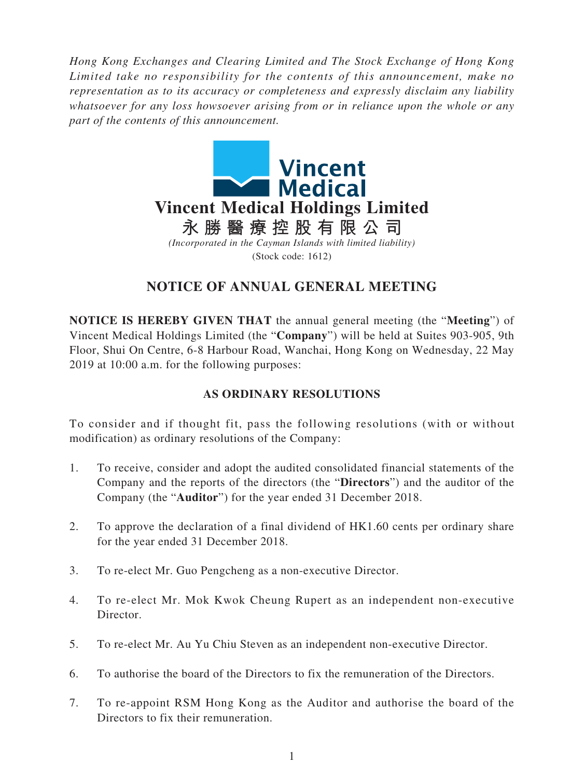*Hong Kong Exchanges and Clearing Limited and The Stock Exchange of Hong Kong Limited take no responsibility for the contents of this announcement, make no representation as to its accuracy or completeness and expressly disclaim any liability whatsoever for any loss howsoever arising from or in reliance upon the whole or any part of the contents of this announcement.*



## **NOTICE OF ANNUAL GENERAL MEETING**

**NOTICE IS HEREBY GIVEN THAT** the annual general meeting (the "**Meeting**") of Vincent Medical Holdings Limited (the "**Company**") will be held at Suites 903-905, 9th Floor, Shui On Centre, 6-8 Harbour Road, Wanchai, Hong Kong on Wednesday, 22 May 2019 at 10:00 a.m. for the following purposes:

## **AS ORDINARY RESOLUTIONS**

To consider and if thought fit, pass the following resolutions (with or without modification) as ordinary resolutions of the Company:

- 1. To receive, consider and adopt the audited consolidated financial statements of the Company and the reports of the directors (the "**Directors**") and the auditor of the Company (the "**Auditor**") for the year ended 31 December 2018.
- 2. To approve the declaration of a final dividend of HK1.60 cents per ordinary share for the year ended 31 December 2018.
- 3. To re-elect Mr. Guo Pengcheng as a non-executive Director.
- 4. To re-elect Mr. Mok Kwok Cheung Rupert as an independent non-executive Director.
- 5. To re-elect Mr. Au Yu Chiu Steven as an independent non-executive Director.
- 6. To authorise the board of the Directors to fix the remuneration of the Directors.
- 7. To re-appoint RSM Hong Kong as the Auditor and authorise the board of the Directors to fix their remuneration.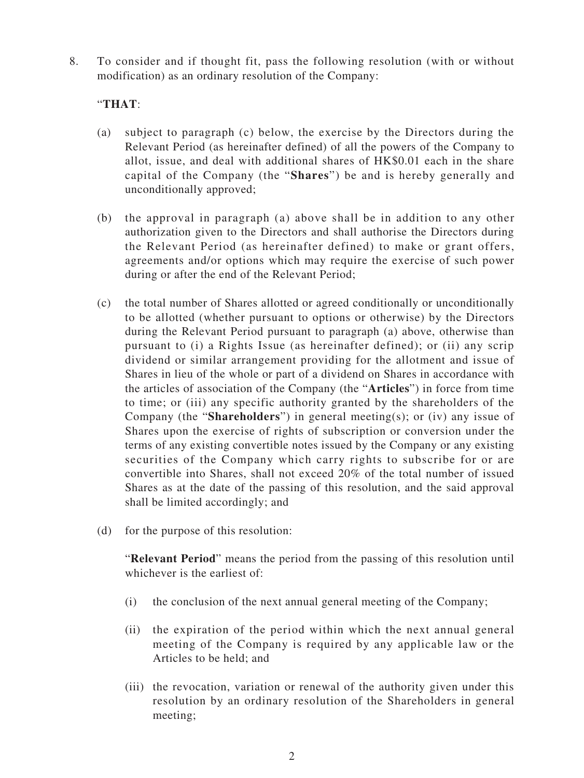8. To consider and if thought fit, pass the following resolution (with or without modification) as an ordinary resolution of the Company:

## "**THAT**:

- (a) subject to paragraph (c) below, the exercise by the Directors during the Relevant Period (as hereinafter defined) of all the powers of the Company to allot, issue, and deal with additional shares of HK\$0.01 each in the share capital of the Company (the "**Shares**") be and is hereby generally and unconditionally approved;
- (b) the approval in paragraph (a) above shall be in addition to any other authorization given to the Directors and shall authorise the Directors during the Relevant Period (as hereinafter defined) to make or grant offers, agreements and/or options which may require the exercise of such power during or after the end of the Relevant Period;
- (c) the total number of Shares allotted or agreed conditionally or unconditionally to be allotted (whether pursuant to options or otherwise) by the Directors during the Relevant Period pursuant to paragraph (a) above, otherwise than pursuant to (i) a Rights Issue (as hereinafter defined); or (ii) any scrip dividend or similar arrangement providing for the allotment and issue of Shares in lieu of the whole or part of a dividend on Shares in accordance with the articles of association of the Company (the "**Articles**") in force from time to time; or (iii) any specific authority granted by the shareholders of the Company (the "**Shareholders**") in general meeting(s); or (iv) any issue of Shares upon the exercise of rights of subscription or conversion under the terms of any existing convertible notes issued by the Company or any existing securities of the Company which carry rights to subscribe for or are convertible into Shares, shall not exceed 20% of the total number of issued Shares as at the date of the passing of this resolution, and the said approval shall be limited accordingly; and
- (d) for the purpose of this resolution:

"**Relevant Period**" means the period from the passing of this resolution until whichever is the earliest of:

- (i) the conclusion of the next annual general meeting of the Company;
- (ii) the expiration of the period within which the next annual general meeting of the Company is required by any applicable law or the Articles to be held; and
- (iii) the revocation, variation or renewal of the authority given under this resolution by an ordinary resolution of the Shareholders in general meeting;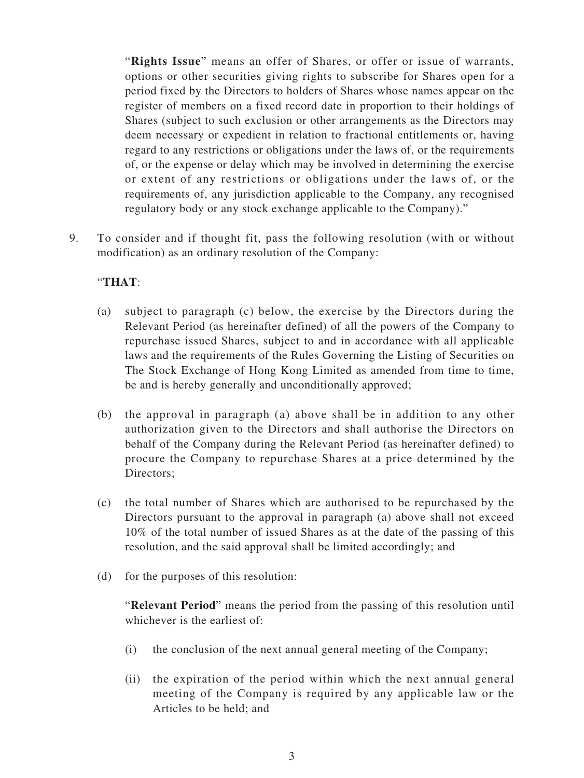"**Rights Issue**" means an offer of Shares, or offer or issue of warrants, options or other securities giving rights to subscribe for Shares open for a period fixed by the Directors to holders of Shares whose names appear on the register of members on a fixed record date in proportion to their holdings of Shares (subject to such exclusion or other arrangements as the Directors may deem necessary or expedient in relation to fractional entitlements or, having regard to any restrictions or obligations under the laws of, or the requirements of, or the expense or delay which may be involved in determining the exercise or extent of any restrictions or obligations under the laws of, or the requirements of, any jurisdiction applicable to the Company, any recognised regulatory body or any stock exchange applicable to the Company)."

9. To consider and if thought fit, pass the following resolution (with or without modification) as an ordinary resolution of the Company:

## "**THAT**:

- (a) subject to paragraph (c) below, the exercise by the Directors during the Relevant Period (as hereinafter defined) of all the powers of the Company to repurchase issued Shares, subject to and in accordance with all applicable laws and the requirements of the Rules Governing the Listing of Securities on The Stock Exchange of Hong Kong Limited as amended from time to time, be and is hereby generally and unconditionally approved;
- (b) the approval in paragraph (a) above shall be in addition to any other authorization given to the Directors and shall authorise the Directors on behalf of the Company during the Relevant Period (as hereinafter defined) to procure the Company to repurchase Shares at a price determined by the Directors;
- (c) the total number of Shares which are authorised to be repurchased by the Directors pursuant to the approval in paragraph (a) above shall not exceed 10% of the total number of issued Shares as at the date of the passing of this resolution, and the said approval shall be limited accordingly; and
- (d) for the purposes of this resolution:

"**Relevant Period**" means the period from the passing of this resolution until whichever is the earliest of:

- (i) the conclusion of the next annual general meeting of the Company;
- (ii) the expiration of the period within which the next annual general meeting of the Company is required by any applicable law or the Articles to be held; and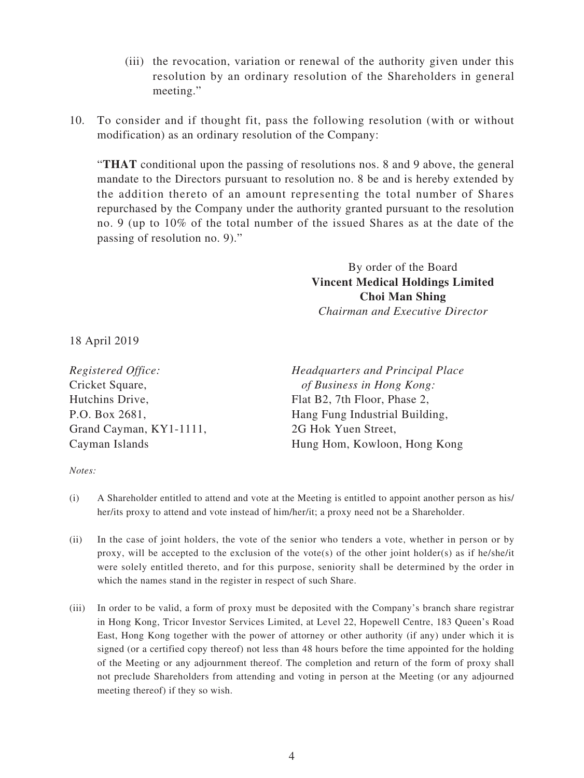- (iii) the revocation, variation or renewal of the authority given under this resolution by an ordinary resolution of the Shareholders in general meeting."
- 10. To consider and if thought fit, pass the following resolution (with or without modification) as an ordinary resolution of the Company:

"**THAT** conditional upon the passing of resolutions nos. 8 and 9 above, the general mandate to the Directors pursuant to resolution no. 8 be and is hereby extended by the addition thereto of an amount representing the total number of Shares repurchased by the Company under the authority granted pursuant to the resolution no. 9 (up to 10% of the total number of the issued Shares as at the date of the passing of resolution no. 9)."

> By order of the Board **Vincent Medical Holdings Limited Choi Man Shing** *Chairman and Executive Director*

18 April 2019

| Registered Office:      | Headquarters and Principal Place |
|-------------------------|----------------------------------|
| Cricket Square,         | of Business in Hong Kong:        |
| Hutchins Drive,         | Flat B2, 7th Floor, Phase 2,     |
| P.O. Box 2681,          | Hang Fung Industrial Building,   |
| Grand Cayman, KY1-1111, | 2G Hok Yuen Street,              |
| Cayman Islands          | Hung Hom, Kowloon, Hong Kong     |

*Notes:*

- (i) A Shareholder entitled to attend and vote at the Meeting is entitled to appoint another person as his/ her/its proxy to attend and vote instead of him/her/it; a proxy need not be a Shareholder.
- (ii) In the case of joint holders, the vote of the senior who tenders a vote, whether in person or by proxy, will be accepted to the exclusion of the vote(s) of the other joint holder(s) as if he/she/it were solely entitled thereto, and for this purpose, seniority shall be determined by the order in which the names stand in the register in respect of such Share.
- (iii) In order to be valid, a form of proxy must be deposited with the Company's branch share registrar in Hong Kong, Tricor Investor Services Limited, at Level 22, Hopewell Centre, 183 Queen's Road East, Hong Kong together with the power of attorney or other authority (if any) under which it is signed (or a certified copy thereof) not less than 48 hours before the time appointed for the holding of the Meeting or any adjournment thereof. The completion and return of the form of proxy shall not preclude Shareholders from attending and voting in person at the Meeting (or any adjourned meeting thereof) if they so wish.